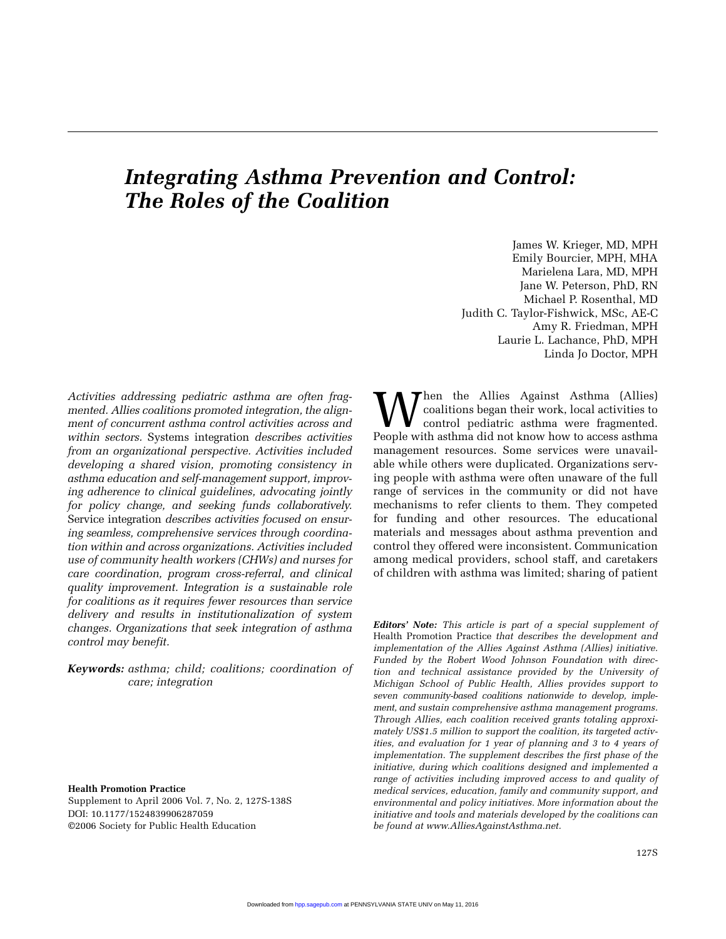# *Integrating Asthma Prevention and Control: The Roles of the Coalition*

*Activities addressing pediatric asthma are often fragmented. Allies coalitions promoted integration, the alignment of concurrent asthma control activities across and within sectors.* Systems integration *describes activities from an organizational perspective. Activities included developing a shared vision, promoting consistency in asthma education and self-management support, improving adherence to clinical guidelines, advocating jointly for policy change, and seeking funds collaboratively.* Service integration *describes activities focused on ensuring seamless, comprehensive services through coordination within and across organizations. Activities included use of community health workers (CHWs) and nurses for care coordination, program cross-referral, and clinical quality improvement. Integration is a sustainable role for coalitions as it requires fewer resources than service delivery and results in institutionalization of system changes. Organizations that seek integration of asthma control may benefit.*

*Keywords: asthma; child; coalitions; coordination of care; integration*

**Health Promotion Practice**

Supplement to April 2006 Vol. 7, No. 2, 127S-138S DOI: 10.1177/1524839906287059 ©2006 Society for Public Health Education

James W. Krieger, MD, MPH Emily Bourcier, MPH, MHA Marielena Lara, MD, MPH Jane W. Peterson, PhD, RN Michael P. Rosenthal, MD Judith C. Taylor-Fishwick, MSc, AE-C Amy R. Friedman, MPH Laurie L. Lachance, PhD, MPH Linda Jo Doctor, MPH

Then the Allies Against Asthma (Allies) coalitions began their work, local activities to control pediatric asthma were fragmented. People with asthma did not know how to access asthma management resources. Some services were unavailable while others were duplicated. Organizations serving people with asthma were often unaware of the full range of services in the community or did not have mechanisms to refer clients to them. They competed for funding and other resources. The educational materials and messages about asthma prevention and control they offered were inconsistent. Communication among medical providers, school staff, and caretakers of children with asthma was limited; sharing of patient

*Editors' Note: This article is part of a special supplement of* Health Promotion Practice *that describes the development and implementation of the Allies Against Asthma (Allies) initiative. Funded by the Robert Wood Johnson Foundation with direction and technical assistance provided by the University of Michigan School of Public Health, Allies provides support to seven community-based coalitions nationwide to develop, implement, and sustain comprehensive asthma management programs. Through Allies, each coalition received grants totaling approximately US\$1.5 million to support the coalition, its targeted activities, and evaluation for 1 year of planning and 3 to 4 years of implementation. The supplement describes the first phase of the initiative, during which coalitions designed and implemented a range of activities including improved access to and quality of medical services, education, family and community support, and environmental and policy initiatives. More information about the initiative and tools and materials developed by the coalitions can be found at www.AlliesAgainstAsthma.net.*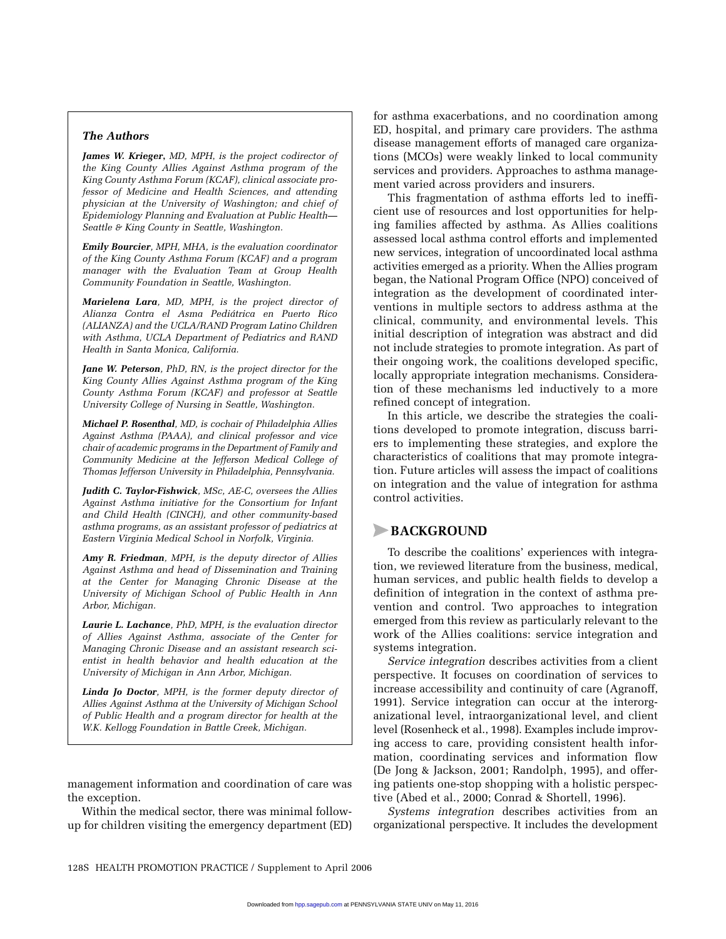## *The Authors*

*James W. Krieger***,** *MD, MPH*, *is the project codirector of the King County Allies Against Asthma program of the King County Asthma Forum (KCAF), clinical associate professor of Medicine and Health Sciences, and attending physician at the University of Washington; and chief of Epidemiology Planning and Evaluation at Public Health— Seattle & King County in Seattle, Washington.*

*Emily Bourcier, MPH, MHA, is the evaluation coordinator of the King County Asthma Forum (KCAF) and a program manager with the Evaluation Team at Group Health Community Foundation in Seattle, Washington.*

*Marielena Lara, MD, MPH, is the project director of Alianza Contra el Asma Pediátrica en Puerto Rico (ALIANZA) and the UCLA/RAND Program Latino Children with Asthma, UCLA Department of Pediatrics and RAND Health in Santa Monica, California.*

*Jane W. Peterson, PhD, RN, is the project director for the King County Allies Against Asthma program of the King County Asthma Forum (KCAF) and professor at Seattle University College of Nursing in Seattle, Washington.*

*Michael P. Rosenthal, MD, is cochair of Philadelphia Allies Against Asthma (PAAA), and clinical professor and vice chair of academic programs in the Department of Family and Community Medicine at the Jefferson Medical College of Thomas Jefferson University in Philadelphia, Pennsylvania.*

*Judith C. Taylor-Fishwick, MSc, AE-C, oversees the Allies Against Asthma initiative for the Consortium for Infant and Child Health (CINCH), and other community-based asthma programs, as an assistant professor of pediatrics at Eastern Virginia Medical School in Norfolk, Virginia.*

*Amy R. Friedman, MPH, is the deputy director of Allies Against Asthma and head of Dissemination and Training at the Center for Managing Chronic Disease at the University of Michigan School of Public Health in Ann Arbor, Michigan.*

*Laurie L. Lachance, PhD, MPH, is the evaluation director of Allies Against Asthma, associate of the Center for Managing Chronic Disease and an assistant research scientist in health behavior and health education at the University of Michigan in Ann Arbor, Michigan.*

*Linda Jo Doctor, MPH, is the former deputy director of Allies Against Asthma at the University of Michigan School of Public Health and a program director for health at the W.K. Kellogg Foundation in Battle Creek, Michigan.*

management information and coordination of care was the exception.

Within the medical sector, there was minimal followup for children visiting the emergency department (ED) for asthma exacerbations, and no coordination among ED, hospital, and primary care providers. The asthma disease management efforts of managed care organizations (MCOs) were weakly linked to local community services and providers. Approaches to asthma management varied across providers and insurers.

This fragmentation of asthma efforts led to inefficient use of resources and lost opportunities for helping families affected by asthma. As Allies coalitions assessed local asthma control efforts and implemented new services, integration of uncoordinated local asthma activities emerged as a priority. When the Allies program began, the National Program Office (NPO) conceived of integration as the development of coordinated interventions in multiple sectors to address asthma at the clinical, community, and environmental levels. This initial description of integration was abstract and did not include strategies to promote integration. As part of their ongoing work, the coalitions developed specific, locally appropriate integration mechanisms. Consideration of these mechanisms led inductively to a more refined concept of integration.

In this article, we describe the strategies the coalitions developed to promote integration, discuss barriers to implementing these strategies, and explore the characteristics of coalitions that may promote integration. Future articles will assess the impact of coalitions on integration and the value of integration for asthma control activities.

# > **BACKGROUND**

To describe the coalitions' experiences with integration, we reviewed literature from the business, medical, human services, and public health fields to develop a definition of integration in the context of asthma prevention and control. Two approaches to integration emerged from this review as particularly relevant to the work of the Allies coalitions: service integration and systems integration.

*Service integration* describes activities from a client perspective. It focuses on coordination of services to increase accessibility and continuity of care (Agranoff, 1991). Service integration can occur at the interorganizational level, intraorganizational level, and client level (Rosenheck et al., 1998). Examples include improving access to care, providing consistent health information, coordinating services and information flow (De Jong & Jackson, 2001; Randolph, 1995), and offering patients one-stop shopping with a holistic perspective (Abed et al., 2000; Conrad & Shortell, 1996).

*Systems integration* describes activities from an organizational perspective. It includes the development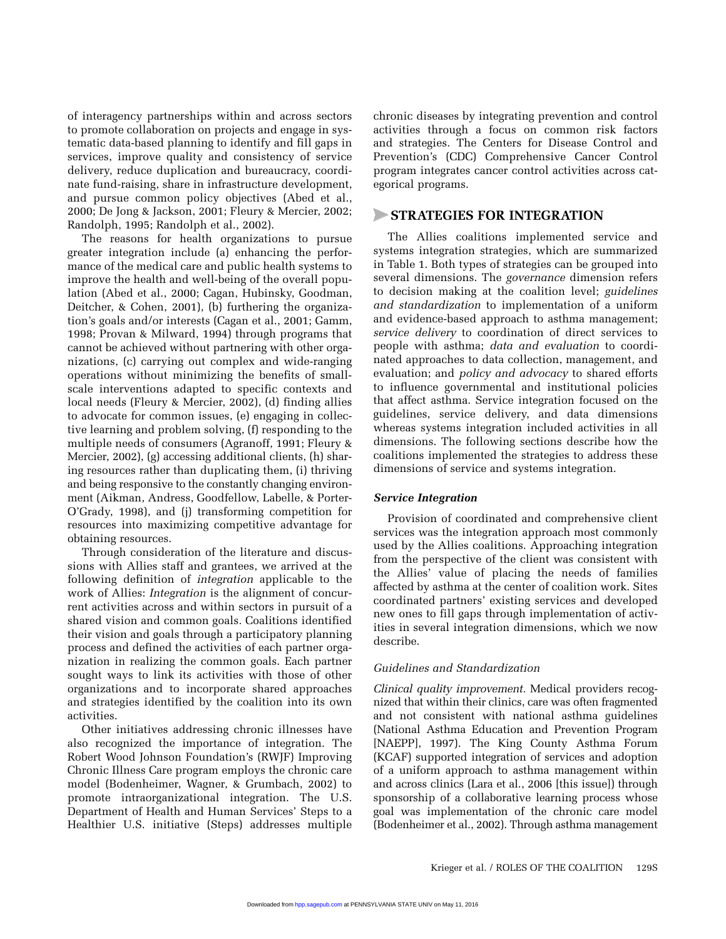of interagency partnerships within and across sectors to promote collaboration on projects and engage in systematic data-based planning to identify and fill gaps in services, improve quality and consistency of service delivery, reduce duplication and bureaucracy, coordinate fund-raising, share in infrastructure development, and pursue common policy objectives (Abed et al., 2000; De Jong & Jackson, 2001; Fleury & Mercier, 2002; Randolph, 1995; Randolph et al., 2002).

The reasons for health organizations to pursue greater integration include (a) enhancing the performance of the medical care and public health systems to improve the health and well-being of the overall population (Abed et al., 2000; Cagan, Hubinsky, Goodman, Deitcher, & Cohen, 2001), (b) furthering the organization's goals and/or interests (Cagan et al., 2001; Gamm, 1998; Provan & Milward, 1994) through programs that cannot be achieved without partnering with other organizations, (c) carrying out complex and wide-ranging operations without minimizing the benefits of smallscale interventions adapted to specific contexts and local needs (Fleury & Mercier, 2002), (d) finding allies to advocate for common issues, (e) engaging in collective learning and problem solving, (f) responding to the multiple needs of consumers (Agranoff, 1991; Fleury & Mercier, 2002), (g) accessing additional clients, (h) sharing resources rather than duplicating them, (i) thriving and being responsive to the constantly changing environment (Aikman, Andress, Goodfellow, Labelle, & Porter-O'Grady, 1998), and (j) transforming competition for resources into maximizing competitive advantage for obtaining resources.

Through consideration of the literature and discussions with Allies staff and grantees, we arrived at the following definition of *integration* applicable to the work of Allies: *Integration* is the alignment of concurrent activities across and within sectors in pursuit of a shared vision and common goals*.* Coalitions identified their vision and goals through a participatory planning process and defined the activities of each partner organization in realizing the common goals. Each partner sought ways to link its activities with those of other organizations and to incorporate shared approaches and strategies identified by the coalition into its own activities.

Other initiatives addressing chronic illnesses have also recognized the importance of integration. The Robert Wood Johnson Foundation's (RWJF) Improving Chronic Illness Care program employs the chronic care model (Bodenheimer, Wagner, & Grumbach, 2002) to promote intraorganizational integration. The U.S. Department of Health and Human Services' Steps to a Healthier U.S. initiative (Steps) addresses multiple chronic diseases by integrating prevention and control activities through a focus on common risk factors and strategies. The Centers for Disease Control and Prevention's (CDC) Comprehensive Cancer Control program integrates cancer control activities across categorical programs.

# > **STRATEGIES FOR INTEGRATION**

The Allies coalitions implemented service and systems integration strategies, which are summarized in Table 1. Both types of strategies can be grouped into several dimensions. The *governance* dimension refers to decision making at the coalition level; *guidelines and standardization* to implementation of a uniform and evidence-based approach to asthma management; *service delivery* to coordination of direct services to people with asthma; *data and evaluation* to coordinated approaches to data collection, management, and evaluation; and *policy and advocacy* to shared efforts to influence governmental and institutional policies that affect asthma. Service integration focused on the guidelines, service delivery, and data dimensions whereas systems integration included activities in all dimensions. The following sections describe how the coalitions implemented the strategies to address these dimensions of service and systems integration.

## *Service Integration*

Provision of coordinated and comprehensive client services was the integration approach most commonly used by the Allies coalitions. Approaching integration from the perspective of the client was consistent with the Allies' value of placing the needs of families affected by asthma at the center of coalition work. Sites coordinated partners' existing services and developed new ones to fill gaps through implementation of activities in several integration dimensions, which we now describe.

## *Guidelines and Standardization*

*Clinical quality improvement.* Medical providers recognized that within their clinics, care was often fragmented and not consistent with national asthma guidelines (National Asthma Education and Prevention Program [NAEPP], 1997). The King County Asthma Forum (KCAF) supported integration of services and adoption of a uniform approach to asthma management within and across clinics (Lara et al., 2006 [this issue]) through sponsorship of a collaborative learning process whose goal was implementation of the chronic care model (Bodenheimer et al., 2002). Through asthma management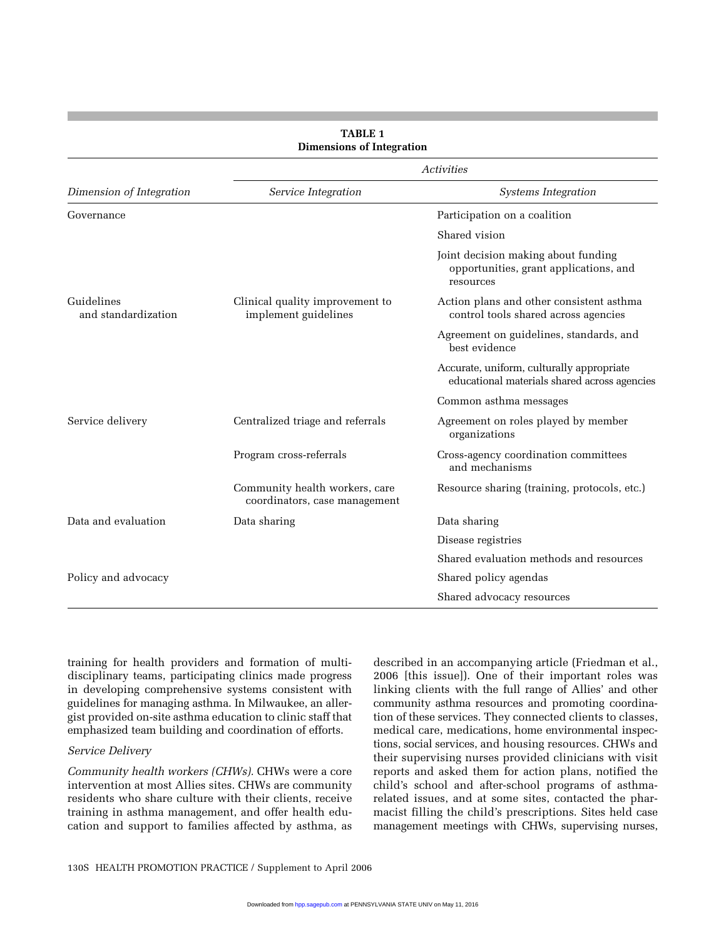|                                   | <b>Activities</b>                                               |                                                                                            |  |
|-----------------------------------|-----------------------------------------------------------------|--------------------------------------------------------------------------------------------|--|
| Dimension of Integration          | Service Integration                                             | <b>Systems Integration</b>                                                                 |  |
| Governance                        |                                                                 | Participation on a coalition                                                               |  |
|                                   |                                                                 | Shared vision                                                                              |  |
|                                   |                                                                 | Joint decision making about funding<br>opportunities, grant applications, and<br>resources |  |
| Guidelines<br>and standardization | Clinical quality improvement to<br>implement guidelines         | Action plans and other consistent asthma<br>control tools shared across agencies           |  |
|                                   |                                                                 | Agreement on guidelines, standards, and<br>best evidence                                   |  |
|                                   |                                                                 | Accurate, uniform, culturally appropriate<br>educational materials shared across agencies  |  |
|                                   |                                                                 | Common asthma messages                                                                     |  |
| Service delivery                  | Centralized triage and referrals                                | Agreement on roles played by member<br>organizations                                       |  |
|                                   | Program cross-referrals                                         | Cross-agency coordination committees<br>and mechanisms                                     |  |
|                                   | Community health workers, care<br>coordinators, case management | Resource sharing (training, protocols, etc.)                                               |  |
| Data and evaluation               | Data sharing                                                    | Data sharing                                                                               |  |
|                                   |                                                                 | Disease registries                                                                         |  |
|                                   |                                                                 | Shared evaluation methods and resources                                                    |  |
| Policy and advocacy               |                                                                 | Shared policy agendas                                                                      |  |
|                                   |                                                                 | Shared advocacy resources                                                                  |  |

# **TABLE 1 Dimensions of Integration**

training for health providers and formation of multidisciplinary teams, participating clinics made progress in developing comprehensive systems consistent with guidelines for managing asthma. In Milwaukee, an allergist provided on-site asthma education to clinic staff that emphasized team building and coordination of efforts.

## *Service Delivery*

*Community health workers (CHWs).* CHWs were a core intervention at most Allies sites. CHWs are community residents who share culture with their clients, receive training in asthma management, and offer health education and support to families affected by asthma, as described in an accompanying article (Friedman et al., 2006 [this issue]). One of their important roles was linking clients with the full range of Allies' and other community asthma resources and promoting coordination of these services. They connected clients to classes, medical care, medications, home environmental inspections, social services, and housing resources. CHWs and their supervising nurses provided clinicians with visit reports and asked them for action plans, notified the child's school and after-school programs of asthmarelated issues, and at some sites, contacted the pharmacist filling the child's prescriptions. Sites held case management meetings with CHWs, supervising nurses,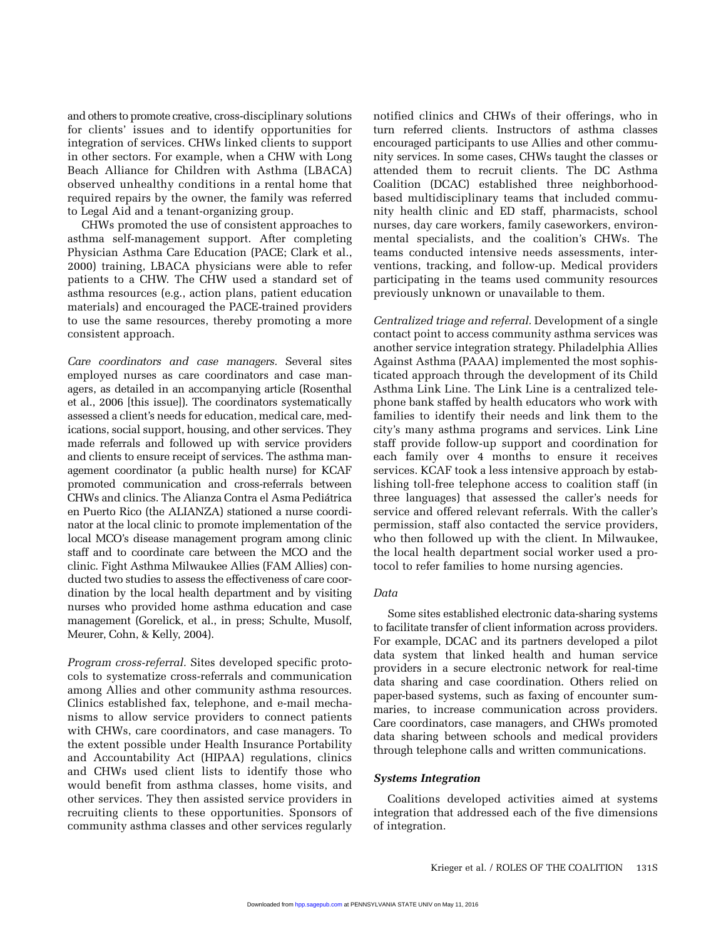and others to promote creative, cross-disciplinary solutions for clients' issues and to identify opportunities for integration of services. CHWs linked clients to support in other sectors. For example, when a CHW with Long Beach Alliance for Children with Asthma (LBACA) observed unhealthy conditions in a rental home that required repairs by the owner, the family was referred to Legal Aid and a tenant-organizing group.

CHWs promoted the use of consistent approaches to asthma self-management support. After completing Physician Asthma Care Education (PACE; Clark et al., 2000) training, LBACA physicians were able to refer patients to a CHW. The CHW used a standard set of asthma resources (e.g., action plans, patient education materials) and encouraged the PACE-trained providers to use the same resources, thereby promoting a more consistent approach.

*Care coordinators and case managers.* Several sites employed nurses as care coordinators and case managers, as detailed in an accompanying article (Rosenthal et al., 2006 [this issue]). The coordinators systematically assessed a client's needs for education, medical care, medications, social support, housing, and other services. They made referrals and followed up with service providers and clients to ensure receipt of services. The asthma management coordinator (a public health nurse) for KCAF promoted communication and cross-referrals between CHWs and clinics. The Alianza Contra el Asma Pediátrica en Puerto Rico (the ALIANZA) stationed a nurse coordinator at the local clinic to promote implementation of the local MCO's disease management program among clinic staff and to coordinate care between the MCO and the clinic. Fight Asthma Milwaukee Allies (FAM Allies) conducted two studies to assess the effectiveness of care coordination by the local health department and by visiting nurses who provided home asthma education and case management (Gorelick, et al., in press; Schulte, Musolf, Meurer, Cohn, & Kelly, 2004).

*Program cross-referral.* Sites developed specific protocols to systematize cross-referrals and communication among Allies and other community asthma resources. Clinics established fax, telephone, and e-mail mechanisms to allow service providers to connect patients with CHWs, care coordinators, and case managers. To the extent possible under Health Insurance Portability and Accountability Act (HIPAA) regulations, clinics and CHWs used client lists to identify those who would benefit from asthma classes, home visits, and other services. They then assisted service providers in recruiting clients to these opportunities. Sponsors of community asthma classes and other services regularly

notified clinics and CHWs of their offerings, who in turn referred clients. Instructors of asthma classes encouraged participants to use Allies and other community services. In some cases, CHWs taught the classes or attended them to recruit clients. The DC Asthma Coalition (DCAC) established three neighborhoodbased multidisciplinary teams that included community health clinic and ED staff, pharmacists, school nurses, day care workers, family caseworkers, environmental specialists, and the coalition's CHWs. The teams conducted intensive needs assessments, interventions, tracking, and follow-up. Medical providers participating in the teams used community resources previously unknown or unavailable to them.

*Centralized triage and referral.* Development of a single contact point to access community asthma services was another service integration strategy. Philadelphia Allies Against Asthma (PAAA) implemented the most sophisticated approach through the development of its Child Asthma Link Line. The Link Line is a centralized telephone bank staffed by health educators who work with families to identify their needs and link them to the city's many asthma programs and services. Link Line staff provide follow-up support and coordination for each family over 4 months to ensure it receives services. KCAF took a less intensive approach by establishing toll-free telephone access to coalition staff (in three languages) that assessed the caller's needs for service and offered relevant referrals. With the caller's permission, staff also contacted the service providers, who then followed up with the client. In Milwaukee, the local health department social worker used a protocol to refer families to home nursing agencies.

## *Data*

Some sites established electronic data-sharing systems to facilitate transfer of client information across providers. For example, DCAC and its partners developed a pilot data system that linked health and human service providers in a secure electronic network for real-time data sharing and case coordination. Others relied on paper-based systems, such as faxing of encounter summaries, to increase communication across providers. Care coordinators, case managers, and CHWs promoted data sharing between schools and medical providers through telephone calls and written communications.

## *Systems Integration*

Coalitions developed activities aimed at systems integration that addressed each of the five dimensions of integration.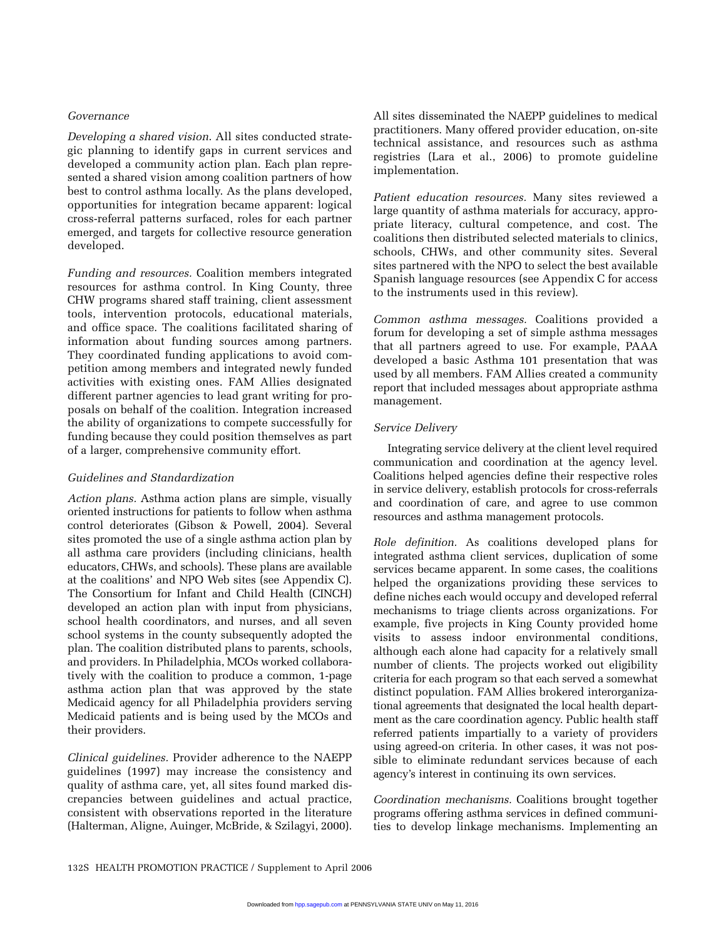## *Governance*

*Developing a shared vision*. All sites conducted strategic planning to identify gaps in current services and developed a community action plan. Each plan represented a shared vision among coalition partners of how best to control asthma locally. As the plans developed, opportunities for integration became apparent: logical cross-referral patterns surfaced, roles for each partner emerged, and targets for collective resource generation developed.

*Funding and resources.* Coalition members integrated resources for asthma control. In King County, three CHW programs shared staff training, client assessment tools, intervention protocols, educational materials, and office space. The coalitions facilitated sharing of information about funding sources among partners. They coordinated funding applications to avoid competition among members and integrated newly funded activities with existing ones. FAM Allies designated different partner agencies to lead grant writing for proposals on behalf of the coalition. Integration increased the ability of organizations to compete successfully for funding because they could position themselves as part of a larger, comprehensive community effort.

## *Guidelines and Standardization*

*Action plans.* Asthma action plans are simple, visually oriented instructions for patients to follow when asthma control deteriorates (Gibson & Powell, 2004). Several sites promoted the use of a single asthma action plan by all asthma care providers (including clinicians, health educators, CHWs, and schools). These plans are available at the coalitions' and NPO Web sites (see Appendix C). The Consortium for Infant and Child Health (CINCH) developed an action plan with input from physicians, school health coordinators, and nurses, and all seven school systems in the county subsequently adopted the plan. The coalition distributed plans to parents, schools, and providers. In Philadelphia, MCOs worked collaboratively with the coalition to produce a common, 1-page asthma action plan that was approved by the state Medicaid agency for all Philadelphia providers serving Medicaid patients and is being used by the MCOs and their providers.

*Clinical guidelines.* Provider adherence to the NAEPP guidelines (1997) may increase the consistency and quality of asthma care, yet, all sites found marked discrepancies between guidelines and actual practice, consistent with observations reported in the literature (Halterman, Aligne, Auinger, McBride, & Szilagyi, 2000).

All sites disseminated the NAEPP guidelines to medical practitioners. Many offered provider education, on-site technical assistance, and resources such as asthma registries (Lara et al., 2006) to promote guideline implementation.

*Patient education resources.* Many sites reviewed a large quantity of asthma materials for accuracy, appropriate literacy, cultural competence, and cost. The coalitions then distributed selected materials to clinics, schools, CHWs, and other community sites. Several sites partnered with the NPO to select the best available Spanish language resources (see Appendix C for access to the instruments used in this review).

*Common asthma messages.* Coalitions provided a forum for developing a set of simple asthma messages that all partners agreed to use. For example, PAAA developed a basic Asthma 101 presentation that was used by all members. FAM Allies created a community report that included messages about appropriate asthma management.

# *Service Delivery*

Integrating service delivery at the client level required communication and coordination at the agency level. Coalitions helped agencies define their respective roles in service delivery, establish protocols for cross-referrals and coordination of care, and agree to use common resources and asthma management protocols.

*Role definition.* As coalitions developed plans for integrated asthma client services, duplication of some services became apparent. In some cases, the coalitions helped the organizations providing these services to define niches each would occupy and developed referral mechanisms to triage clients across organizations. For example, five projects in King County provided home visits to assess indoor environmental conditions, although each alone had capacity for a relatively small number of clients. The projects worked out eligibility criteria for each program so that each served a somewhat distinct population. FAM Allies brokered interorganizational agreements that designated the local health department as the care coordination agency. Public health staff referred patients impartially to a variety of providers using agreed-on criteria. In other cases, it was not possible to eliminate redundant services because of each agency's interest in continuing its own services.

*Coordination mechanisms.* Coalitions brought together programs offering asthma services in defined communities to develop linkage mechanisms. Implementing an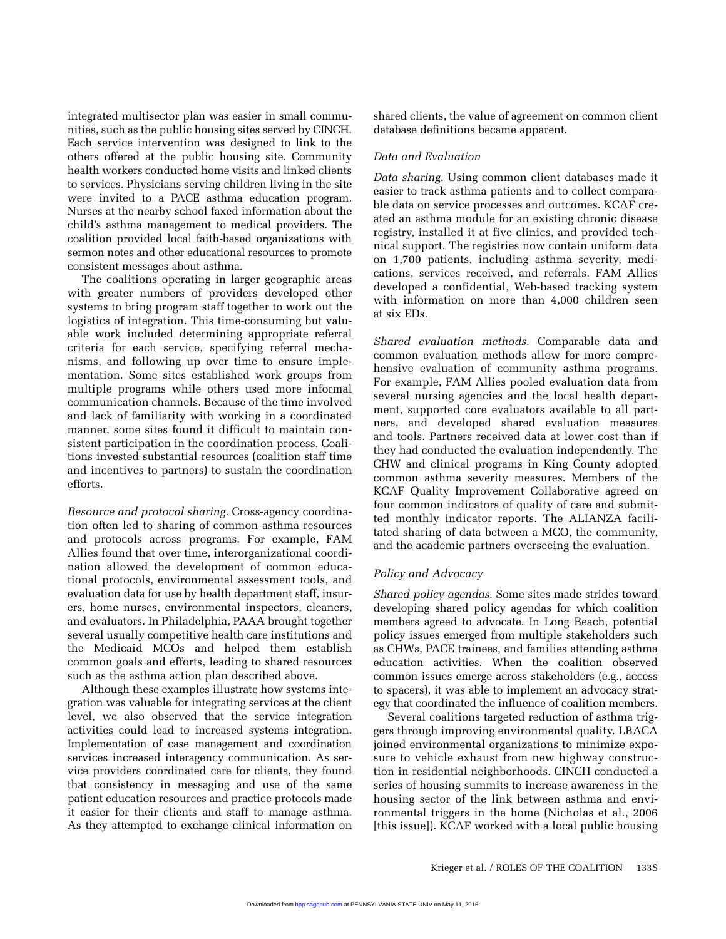integrated multisector plan was easier in small communities, such as the public housing sites served by CINCH. Each service intervention was designed to link to the others offered at the public housing site. Community health workers conducted home visits and linked clients to services. Physicians serving children living in the site were invited to a PACE asthma education program. Nurses at the nearby school faxed information about the child's asthma management to medical providers. The coalition provided local faith-based organizations with sermon notes and other educational resources to promote consistent messages about asthma.

The coalitions operating in larger geographic areas with greater numbers of providers developed other systems to bring program staff together to work out the logistics of integration. This time-consuming but valuable work included determining appropriate referral criteria for each service, specifying referral mechanisms, and following up over time to ensure implementation. Some sites established work groups from multiple programs while others used more informal communication channels. Because of the time involved and lack of familiarity with working in a coordinated manner, some sites found it difficult to maintain consistent participation in the coordination process. Coalitions invested substantial resources (coalition staff time and incentives to partners) to sustain the coordination efforts.

*Resource and protocol sharing.* Cross-agency coordination often led to sharing of common asthma resources and protocols across programs. For example, FAM Allies found that over time, interorganizational coordination allowed the development of common educational protocols, environmental assessment tools, and evaluation data for use by health department staff, insurers, home nurses, environmental inspectors, cleaners, and evaluators. In Philadelphia, PAAA brought together several usually competitive health care institutions and the Medicaid MCOs and helped them establish common goals and efforts, leading to shared resources such as the asthma action plan described above.

Although these examples illustrate how systems integration was valuable for integrating services at the client level, we also observed that the service integration activities could lead to increased systems integration. Implementation of case management and coordination services increased interagency communication. As service providers coordinated care for clients, they found that consistency in messaging and use of the same patient education resources and practice protocols made it easier for their clients and staff to manage asthma. As they attempted to exchange clinical information on shared clients, the value of agreement on common client database definitions became apparent.

# *Data and Evaluation*

*Data sharing*. Using common client databases made it easier to track asthma patients and to collect comparable data on service processes and outcomes. KCAF created an asthma module for an existing chronic disease registry, installed it at five clinics, and provided technical support. The registries now contain uniform data on 1,700 patients, including asthma severity, medications, services received, and referrals. FAM Allies developed a confidential, Web-based tracking system with information on more than 4,000 children seen at six EDs.

*Shared evaluation methods.* Comparable data and common evaluation methods allow for more comprehensive evaluation of community asthma programs. For example, FAM Allies pooled evaluation data from several nursing agencies and the local health department, supported core evaluators available to all partners, and developed shared evaluation measures and tools. Partners received data at lower cost than if they had conducted the evaluation independently. The CHW and clinical programs in King County adopted common asthma severity measures. Members of the KCAF Quality Improvement Collaborative agreed on four common indicators of quality of care and submitted monthly indicator reports. The ALIANZA facilitated sharing of data between a MCO, the community, and the academic partners overseeing the evaluation.

# *Policy and Advocacy*

*Shared policy agendas.* Some sites made strides toward developing shared policy agendas for which coalition members agreed to advocate. In Long Beach, potential policy issues emerged from multiple stakeholders such as CHWs, PACE trainees, and families attending asthma education activities. When the coalition observed common issues emerge across stakeholders (e.g., access to spacers), it was able to implement an advocacy strategy that coordinated the influence of coalition members.

Several coalitions targeted reduction of asthma triggers through improving environmental quality. LBACA joined environmental organizations to minimize exposure to vehicle exhaust from new highway construction in residential neighborhoods. CINCH conducted a series of housing summits to increase awareness in the housing sector of the link between asthma and environmental triggers in the home (Nicholas et al., 2006 [this issue]). KCAF worked with a local public housing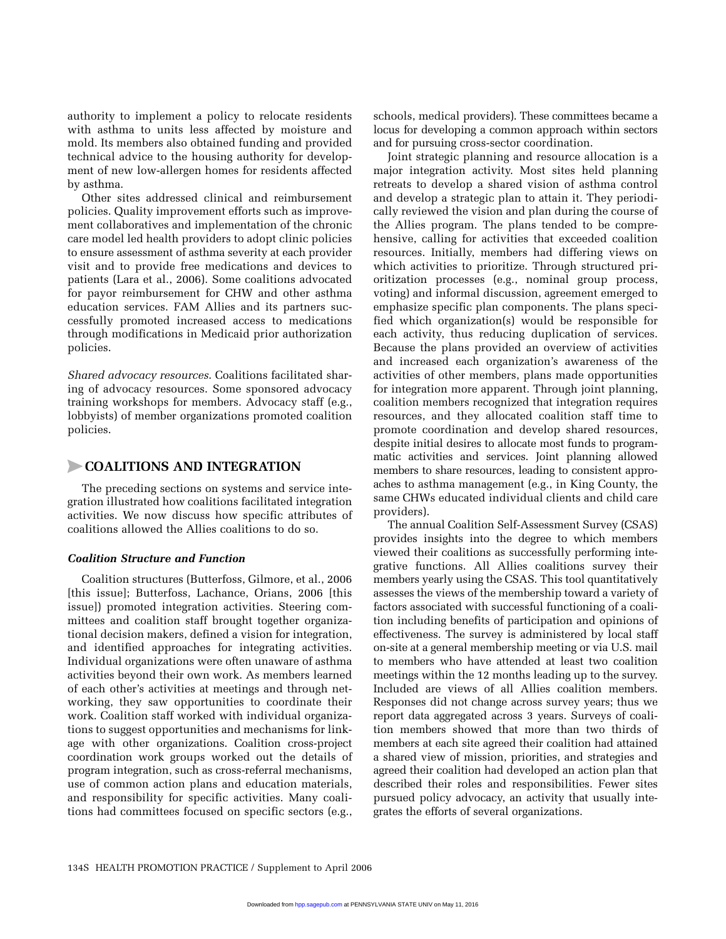authority to implement a policy to relocate residents with asthma to units less affected by moisture and mold. Its members also obtained funding and provided technical advice to the housing authority for development of new low-allergen homes for residents affected by asthma.

Other sites addressed clinical and reimbursement policies. Quality improvement efforts such as improvement collaboratives and implementation of the chronic care model led health providers to adopt clinic policies to ensure assessment of asthma severity at each provider visit and to provide free medications and devices to patients (Lara et al., 2006). Some coalitions advocated for payor reimbursement for CHW and other asthma education services. FAM Allies and its partners successfully promoted increased access to medications through modifications in Medicaid prior authorization policies.

*Shared advocacy resources*. Coalitions facilitated sharing of advocacy resources. Some sponsored advocacy training workshops for members. Advocacy staff (e.g., lobbyists) of member organizations promoted coalition policies.

# > **COALITIONS AND INTEGRATION**

The preceding sections on systems and service integration illustrated how coalitions facilitated integration activities. We now discuss how specific attributes of coalitions allowed the Allies coalitions to do so.

### *Coalition Structure and Function*

Coalition structures (Butterfoss, Gilmore, et al., 2006 [this issue]; Butterfoss, Lachance, Orians, 2006 [this issue]) promoted integration activities. Steering committees and coalition staff brought together organizational decision makers, defined a vision for integration, and identified approaches for integrating activities. Individual organizations were often unaware of asthma activities beyond their own work. As members learned of each other's activities at meetings and through networking, they saw opportunities to coordinate their work. Coalition staff worked with individual organizations to suggest opportunities and mechanisms for linkage with other organizations. Coalition cross-project coordination work groups worked out the details of program integration, such as cross-referral mechanisms, use of common action plans and education materials, and responsibility for specific activities. Many coalitions had committees focused on specific sectors (e.g., schools, medical providers). These committees became a locus for developing a common approach within sectors and for pursuing cross-sector coordination.

Joint strategic planning and resource allocation is a major integration activity. Most sites held planning retreats to develop a shared vision of asthma control and develop a strategic plan to attain it. They periodically reviewed the vision and plan during the course of the Allies program. The plans tended to be comprehensive, calling for activities that exceeded coalition resources. Initially, members had differing views on which activities to prioritize. Through structured prioritization processes (e.g., nominal group process, voting) and informal discussion, agreement emerged to emphasize specific plan components. The plans specified which organization(s) would be responsible for each activity, thus reducing duplication of services. Because the plans provided an overview of activities and increased each organization's awareness of the activities of other members, plans made opportunities for integration more apparent. Through joint planning, coalition members recognized that integration requires resources, and they allocated coalition staff time to promote coordination and develop shared resources, despite initial desires to allocate most funds to programmatic activities and services. Joint planning allowed members to share resources, leading to consistent approaches to asthma management (e.g., in King County, the same CHWs educated individual clients and child care providers).

The annual Coalition Self-Assessment Survey (CSAS) provides insights into the degree to which members viewed their coalitions as successfully performing integrative functions. All Allies coalitions survey their members yearly using the CSAS. This tool quantitatively assesses the views of the membership toward a variety of factors associated with successful functioning of a coalition including benefits of participation and opinions of effectiveness. The survey is administered by local staff on-site at a general membership meeting or via U.S. mail to members who have attended at least two coalition meetings within the 12 months leading up to the survey. Included are views of all Allies coalition members. Responses did not change across survey years; thus we report data aggregated across 3 years. Surveys of coalition members showed that more than two thirds of members at each site agreed their coalition had attained a shared view of mission, priorities, and strategies and agreed their coalition had developed an action plan that described their roles and responsibilities. Fewer sites pursued policy advocacy, an activity that usually integrates the efforts of several organizations.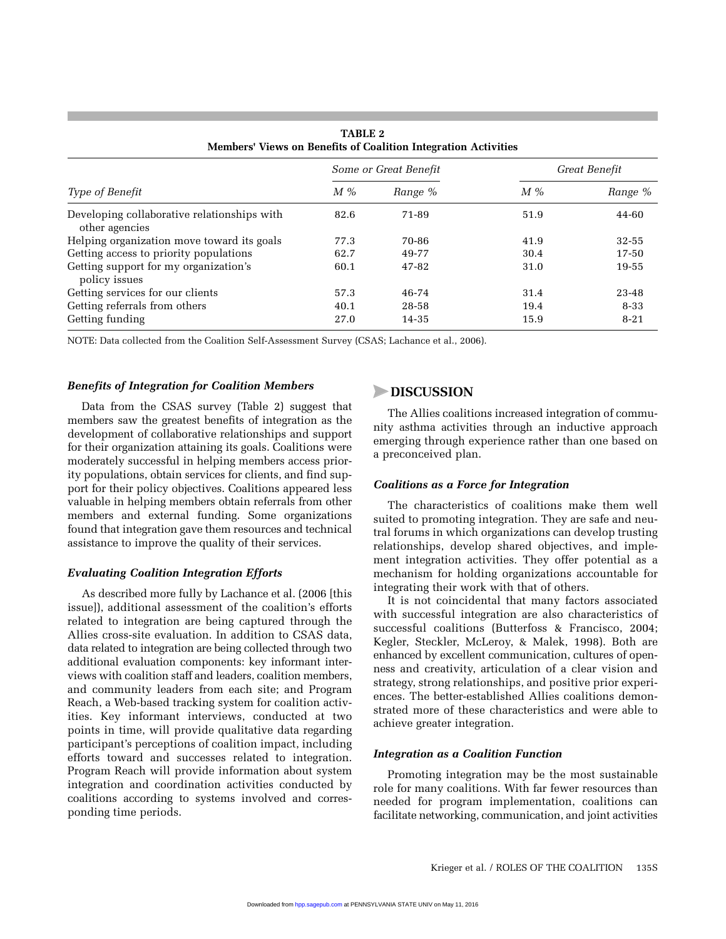|                                                               | Some or Great Benefit |         | Great Benefit |           |
|---------------------------------------------------------------|-----------------------|---------|---------------|-----------|
| Type of Benefit                                               | $M\%$                 | Range % | $M\%$         | Range %   |
| Developing collaborative relationships with<br>other agencies | 82.6                  | 71-89   | 51.9          | 44-60     |
| Helping organization move toward its goals                    | 77.3                  | 70-86   | 41.9          | 32-55     |
| Getting access to priority populations                        | 62.7                  | 49-77   | 30.4          | $17 - 50$ |
| Getting support for my organization's<br>policy issues        | 60.1                  | 47-82   | 31.0          | 19-55     |
| Getting services for our clients                              | 57.3                  | 46-74   | 31.4          | 23-48     |
| Getting referrals from others                                 | 40.1                  | 28-58   | 19.4          | $8 - 33$  |
| Getting funding                                               | 27.0                  | 14-35   | 15.9          | $8 - 21$  |

**TABLE 2 Members' Views on Benefits of Coalition Integration Activities**

NOTE: Data collected from the Coalition Self-Assessment Survey (CSAS; Lachance et al., 2006).

### *Benefits of Integration for Coalition Members*

Data from the CSAS survey (Table 2) suggest that members saw the greatest benefits of integration as the development of collaborative relationships and support for their organization attaining its goals. Coalitions were moderately successful in helping members access priority populations, obtain services for clients, and find support for their policy objectives. Coalitions appeared less valuable in helping members obtain referrals from other members and external funding. Some organizations found that integration gave them resources and technical assistance to improve the quality of their services.

## *Evaluating Coalition Integration Efforts*

As described more fully by Lachance et al. (2006 [this issue]), additional assessment of the coalition's efforts related to integration are being captured through the Allies cross-site evaluation. In addition to CSAS data, data related to integration are being collected through two additional evaluation components: key informant interviews with coalition staff and leaders, coalition members, and community leaders from each site; and Program Reach, a Web-based tracking system for coalition activities. Key informant interviews, conducted at two points in time, will provide qualitative data regarding participant's perceptions of coalition impact, including efforts toward and successes related to integration. Program Reach will provide information about system integration and coordination activities conducted by coalitions according to systems involved and corresponding time periods.

# > **DISCUSSION**

The Allies coalitions increased integration of community asthma activities through an inductive approach emerging through experience rather than one based on a preconceived plan.

#### *Coalitions as a Force for Integration*

The characteristics of coalitions make them well suited to promoting integration. They are safe and neutral forums in which organizations can develop trusting relationships, develop shared objectives, and implement integration activities. They offer potential as a mechanism for holding organizations accountable for integrating their work with that of others.

It is not coincidental that many factors associated with successful integration are also characteristics of successful coalitions (Butterfoss & Francisco, 2004; Kegler, Steckler, McLeroy, & Malek, 1998). Both are enhanced by excellent communication, cultures of openness and creativity, articulation of a clear vision and strategy, strong relationships, and positive prior experiences. The better-established Allies coalitions demonstrated more of these characteristics and were able to achieve greater integration.

#### *Integration as a Coalition Function*

Promoting integration may be the most sustainable role for many coalitions. With far fewer resources than needed for program implementation, coalitions can facilitate networking, communication, and joint activities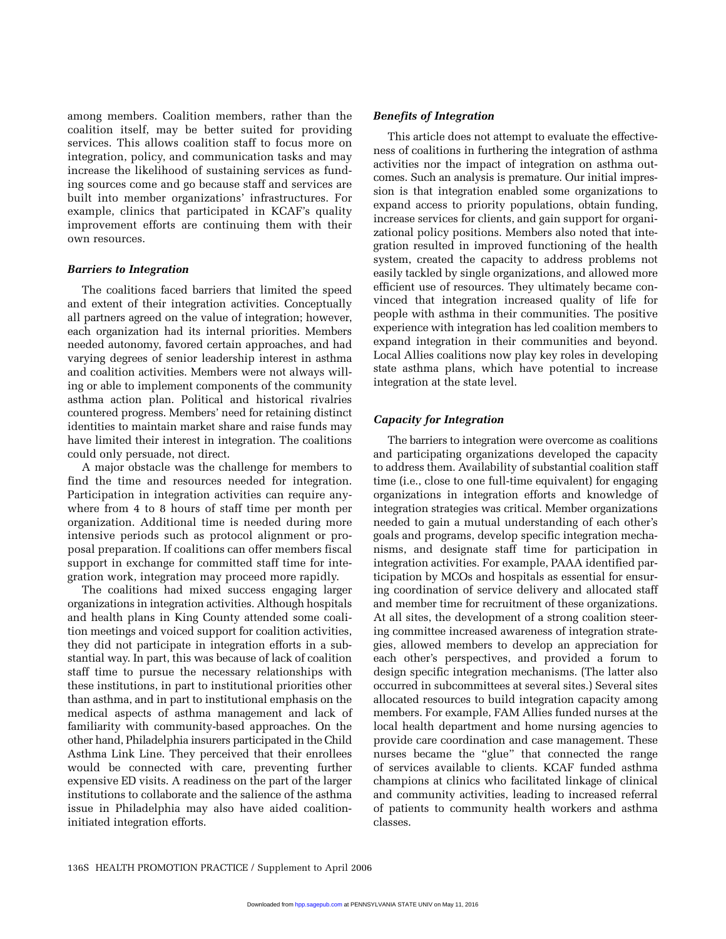among members. Coalition members, rather than the coalition itself, may be better suited for providing services. This allows coalition staff to focus more on integration, policy, and communication tasks and may increase the likelihood of sustaining services as funding sources come and go because staff and services are built into member organizations' infrastructures. For example, clinics that participated in KCAF's quality improvement efforts are continuing them with their own resources.

#### *Barriers to Integration*

The coalitions faced barriers that limited the speed and extent of their integration activities. Conceptually all partners agreed on the value of integration; however, each organization had its internal priorities. Members needed autonomy, favored certain approaches, and had varying degrees of senior leadership interest in asthma and coalition activities. Members were not always willing or able to implement components of the community asthma action plan. Political and historical rivalries countered progress. Members' need for retaining distinct identities to maintain market share and raise funds may have limited their interest in integration. The coalitions could only persuade, not direct.

A major obstacle was the challenge for members to find the time and resources needed for integration. Participation in integration activities can require anywhere from 4 to 8 hours of staff time per month per organization. Additional time is needed during more intensive periods such as protocol alignment or proposal preparation. If coalitions can offer members fiscal support in exchange for committed staff time for integration work, integration may proceed more rapidly.

The coalitions had mixed success engaging larger organizations in integration activities. Although hospitals and health plans in King County attended some coalition meetings and voiced support for coalition activities, they did not participate in integration efforts in a substantial way. In part, this was because of lack of coalition staff time to pursue the necessary relationships with these institutions, in part to institutional priorities other than asthma, and in part to institutional emphasis on the medical aspects of asthma management and lack of familiarity with community-based approaches. On the other hand, Philadelphia insurers participated in the Child Asthma Link Line. They perceived that their enrollees would be connected with care, preventing further expensive ED visits. A readiness on the part of the larger institutions to collaborate and the salience of the asthma issue in Philadelphia may also have aided coalitioninitiated integration efforts.

### *Benefits of Integration*

This article does not attempt to evaluate the effectiveness of coalitions in furthering the integration of asthma activities nor the impact of integration on asthma outcomes. Such an analysis is premature. Our initial impression is that integration enabled some organizations to expand access to priority populations, obtain funding, increase services for clients, and gain support for organizational policy positions. Members also noted that integration resulted in improved functioning of the health system, created the capacity to address problems not easily tackled by single organizations, and allowed more efficient use of resources. They ultimately became convinced that integration increased quality of life for people with asthma in their communities. The positive experience with integration has led coalition members to expand integration in their communities and beyond. Local Allies coalitions now play key roles in developing state asthma plans, which have potential to increase integration at the state level.

## *Capacity for Integration*

The barriers to integration were overcome as coalitions and participating organizations developed the capacity to address them. Availability of substantial coalition staff time (i.e., close to one full-time equivalent) for engaging organizations in integration efforts and knowledge of integration strategies was critical. Member organizations needed to gain a mutual understanding of each other's goals and programs, develop specific integration mechanisms, and designate staff time for participation in integration activities. For example, PAAA identified participation by MCOs and hospitals as essential for ensuring coordination of service delivery and allocated staff and member time for recruitment of these organizations. At all sites, the development of a strong coalition steering committee increased awareness of integration strategies, allowed members to develop an appreciation for each other's perspectives, and provided a forum to design specific integration mechanisms. (The latter also occurred in subcommittees at several sites.) Several sites allocated resources to build integration capacity among members. For example, FAM Allies funded nurses at the local health department and home nursing agencies to provide care coordination and case management. These nurses became the "glue" that connected the range of services available to clients. KCAF funded asthma champions at clinics who facilitated linkage of clinical and community activities, leading to increased referral of patients to community health workers and asthma classes.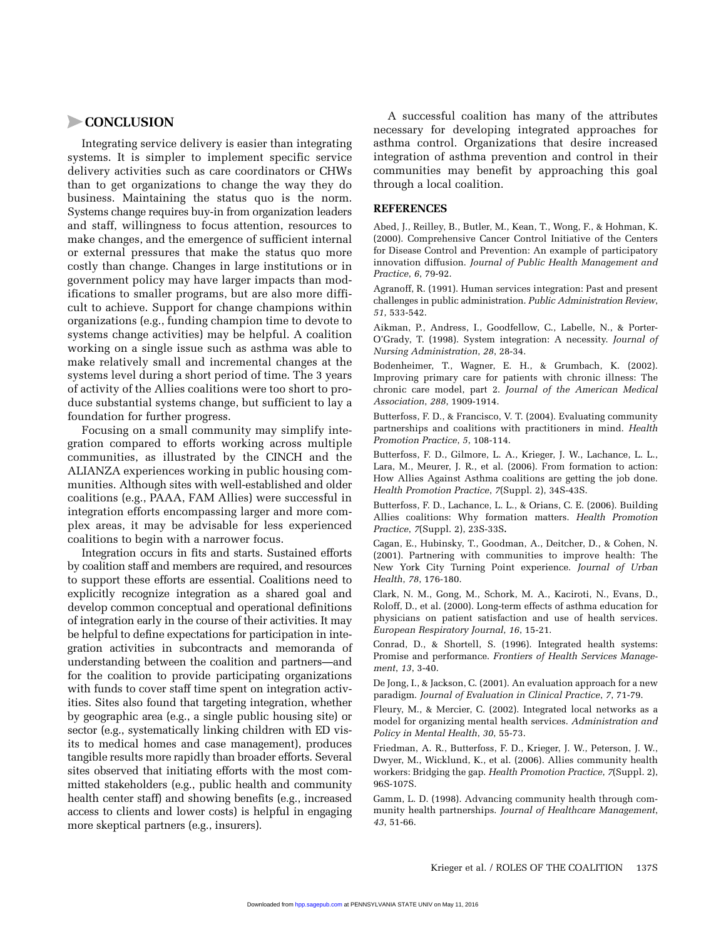# > **CONCLUSION**

Integrating service delivery is easier than integrating systems. It is simpler to implement specific service delivery activities such as care coordinators or CHWs than to get organizations to change the way they do business. Maintaining the status quo is the norm. Systems change requires buy-in from organization leaders and staff, willingness to focus attention, resources to make changes, and the emergence of sufficient internal or external pressures that make the status quo more costly than change. Changes in large institutions or in government policy may have larger impacts than modifications to smaller programs, but are also more difficult to achieve. Support for change champions within organizations (e.g., funding champion time to devote to systems change activities) may be helpful. A coalition working on a single issue such as asthma was able to make relatively small and incremental changes at the systems level during a short period of time. The 3 years of activity of the Allies coalitions were too short to produce substantial systems change, but sufficient to lay a foundation for further progress.

Focusing on a small community may simplify integration compared to efforts working across multiple communities, as illustrated by the CINCH and the ALIANZA experiences working in public housing communities. Although sites with well-established and older coalitions (e.g., PAAA, FAM Allies) were successful in integration efforts encompassing larger and more complex areas, it may be advisable for less experienced coalitions to begin with a narrower focus.

Integration occurs in fits and starts. Sustained efforts by coalition staff and members are required, and resources to support these efforts are essential. Coalitions need to explicitly recognize integration as a shared goal and develop common conceptual and operational definitions of integration early in the course of their activities. It may be helpful to define expectations for participation in integration activities in subcontracts and memoranda of understanding between the coalition and partners—and for the coalition to provide participating organizations with funds to cover staff time spent on integration activities. Sites also found that targeting integration, whether by geographic area (e.g., a single public housing site) or sector (e.g., systematically linking children with ED visits to medical homes and case management), produces tangible results more rapidly than broader efforts. Several sites observed that initiating efforts with the most committed stakeholders (e.g., public health and community health center staff) and showing benefits (e.g., increased access to clients and lower costs) is helpful in engaging more skeptical partners (e.g., insurers).

A successful coalition has many of the attributes necessary for developing integrated approaches for asthma control. Organizations that desire increased integration of asthma prevention and control in their communities may benefit by approaching this goal through a local coalition.

#### **REFERENCES**

Abed, J., Reilley, B., Butler, M., Kean, T., Wong, F., & Hohman, K. (2000). Comprehensive Cancer Control Initiative of the Centers for Disease Control and Prevention: An example of participatory innovation diffusion. *Journal of Public Health Management and Practice*, *6*, 79-92.

Agranoff, R. (1991). Human services integration: Past and present challenges in public administration. *Public Administration Review*, *51*, 533-542.

Aikman, P., Andress, I., Goodfellow, C., Labelle, N., & Porter-O'Grady, T. (1998). System integration: A necessity. *Journal of Nursing Administration*, *28*, 28-34.

Bodenheimer, T., Wagner, E. H., & Grumbach, K. (2002). Improving primary care for patients with chronic illness: The chronic care model, part 2. *Journal of the American Medical Association*, *288*, 1909-1914.

Butterfoss, F. D., & Francisco, V. T. (2004). Evaluating community partnerships and coalitions with practitioners in mind. *Health Promotion Practice*, *5*, 108-114.

Butterfoss, F. D., Gilmore, L. A., Krieger, J. W., Lachance, L. L., Lara, M., Meurer, J. R., et al. (2006). From formation to action: How Allies Against Asthma coalitions are getting the job done. *Health Promotion Practice*, *7*(Suppl. 2), 34S-43S.

Butterfoss, F. D., Lachance, L. L., & Orians, C. E. (2006). Building Allies coalitions: Why formation matters. *Health Promotion Practice*, *7*(Suppl. 2), 23S-33S**.**

Cagan, E., Hubinsky, T., Goodman, A., Deitcher, D., & Cohen, N. (2001). Partnering with communities to improve health: The New York City Turning Point experience. *Journal of Urban Health*, *78*, 176-180.

Clark, N. M., Gong, M., Schork, M. A., Kaciroti, N., Evans, D., Roloff, D., et al. (2000). Long-term effects of asthma education for physicians on patient satisfaction and use of health services. *European Respiratory Journal*, *16*, 15-21.

Conrad, D., & Shortell, S. (1996). Integrated health systems: Promise and performance. *Frontiers of Health Services Management*, *13*, 3-40.

De Jong, I., & Jackson, C. (2001). An evaluation approach for a new paradigm. *Journal of Evaluation in Clinical Practice*, *7*, 71-79.

Fleury, M., & Mercier, C. (2002). Integrated local networks as a model for organizing mental health services. *Administration and Policy in Mental Health*, *30*, 55-73.

Friedman, A. R., Butterfoss, F. D., Krieger, J. W., Peterson, J. W., Dwyer, M., Wicklund, K., et al. (2006). Allies community health workers: Bridging the gap. *Health Promotion Practice*, *7*(Suppl. 2), 96S-107S.

Gamm, L. D. (1998). Advancing community health through community health partnerships. *Journal of Healthcare Management*, *43*, 51-66.